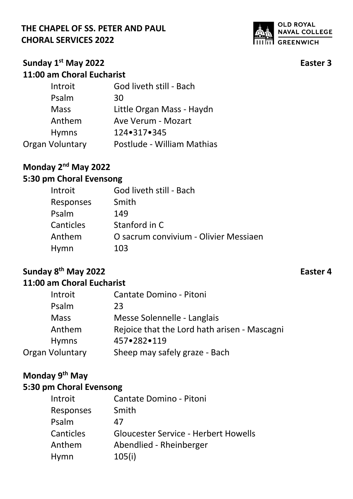

### **Sunday 1st May 2022 Easter 3 11:00 am Choral Eucharist**

| Introit         | God liveth still - Bach    |
|-----------------|----------------------------|
| Psalm           | 30                         |
| <b>Mass</b>     | Little Organ Mass - Haydn  |
| Anthem          | Ave Verum - Mozart         |
| <b>Hymns</b>    | 124•317•345                |
| Organ Voluntary | Postlude - William Mathias |

## **Monday 2nd May 2022**

# **5:30 pm Choral Evensong**

| Introit          | God liveth still - Bach               |
|------------------|---------------------------------------|
| <b>Responses</b> | Smith                                 |
| Psalm            | 149                                   |
| <b>Canticles</b> | Stanford in C                         |
| Anthem           | O sacrum convivium - Olivier Messiaen |
| Hymn             | 103                                   |
|                  |                                       |

# **Sunday 8th May 2022 Easter 4**

## **11:00 am Choral Eucharist**

| Introit         | Cantate Domino - Pitoni                      |
|-----------------|----------------------------------------------|
| Psalm           | 23                                           |
| <b>Mass</b>     | Messe Solennelle - Langlais                  |
| Anthem          | Rejoice that the Lord hath arisen - Mascagni |
| <b>Hymns</b>    | 457.282.119                                  |
| Organ Voluntary | Sheep may safely graze - Bach                |

# **Monday 9th May**

| Introit   | Cantate Domino - Pitoni                     |
|-----------|---------------------------------------------|
| Responses | Smith                                       |
| Psalm     | 47                                          |
| Canticles | <b>Gloucester Service - Herbert Howells</b> |
| Anthem    | Abendlied - Rheinberger                     |
| Hymn      | 105(i)                                      |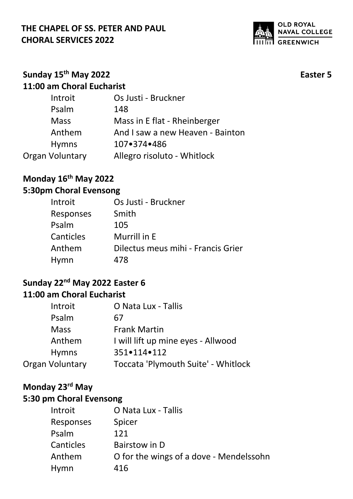

## **Sunday 15th May 2022 Easter 5 11:00 am Choral Eucharist**

| Introit         | Os Justi - Bruckner              |
|-----------------|----------------------------------|
| Psalm           | 148                              |
| <b>Mass</b>     | Mass in E flat - Rheinberger     |
| Anthem          | And I saw a new Heaven - Bainton |
| <b>Hymns</b>    | 107•374•486                      |
| Organ Voluntary | Allegro risoluto - Whitlock      |
|                 |                                  |

# **Monday 16th May 2022**

### **5:30pm Choral Evensong**

| Introit          | Os Justi - Bruckner                |
|------------------|------------------------------------|
| <b>Responses</b> | Smith                              |
| Psalm            | 105                                |
| <b>Canticles</b> | Murrill in E                       |
| Anthem           | Dilectus meus mihi - Francis Grier |
| Hymn             | 478                                |

#### **Sunday 22nd May 2022 Easter 6 11:00 am Choral Eucharist**

| Introit         | O Nata Lux - Tallis                 |
|-----------------|-------------------------------------|
| Psalm           | 67                                  |
| <b>Mass</b>     | <b>Frank Martin</b>                 |
| Anthem          | I will lift up mine eyes - Allwood  |
| <b>Hymns</b>    | 351•114•112                         |
| Organ Voluntary | Toccata 'Plymouth Suite' - Whitlock |

# **Monday 23rd May**

| O Nata Lux - Tallis                     |
|-----------------------------------------|
| Spicer                                  |
| 121                                     |
| Bairstow in D                           |
| O for the wings of a dove - Mendelssohn |
| 416                                     |
|                                         |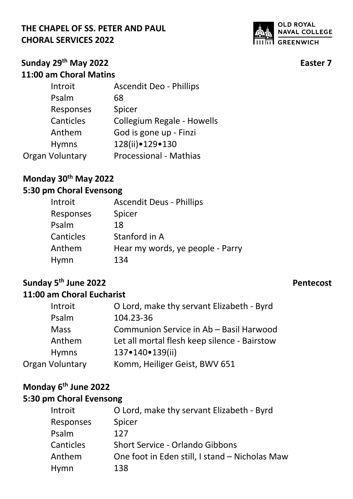

### **Sunday 29th May 2022 Easter 7 11:00 am Choral Matins**

| Introit                | <b>Ascendit Deo - Phillips</b>    |
|------------------------|-----------------------------------|
| Psalm                  | 68                                |
| Responses              | Spicer                            |
| Canticles              | <b>Collegium Regale - Howells</b> |
| Anthem                 | God is gone up - Finzi            |
| <b>Hymns</b>           | 128(ii) • 129 • 130               |
| <b>Organ Voluntary</b> | <b>Processional - Mathias</b>     |
|                        |                                   |

# **Monday 30th May 2022**

# **5:30 pm Choral Evensong**

| <b>Ascendit Deus - Phillips</b>  |
|----------------------------------|
| Spicer                           |
| 18                               |
| Stanford in A                    |
| Hear my words, ye people - Parry |
| 134                              |
|                                  |

#### **Sunday 5th June 2022 Pentecost 11:00 am Choral Eucharist**

| Introit         | O Lord, make thy servant Elizabeth - Byrd    |
|-----------------|----------------------------------------------|
| Psalm           | 104.23-36                                    |
| <b>Mass</b>     | Communion Service in Ab - Basil Harwood      |
| Anthem          | Let all mortal flesh keep silence - Bairstow |
| <b>Hymns</b>    | 137•140•139(ii)                              |
| Organ Voluntary | Komm, Heiliger Geist, BWV 651                |

## **Monday 6th June 2022**

| Introit   | O Lord, make thy servant Elizabeth - Byrd      |
|-----------|------------------------------------------------|
| Responses | Spicer                                         |
| Psalm     | 127                                            |
| Canticles | <b>Short Service - Orlando Gibbons</b>         |
| Anthem    | One foot in Eden still, I stand – Nicholas Maw |
| Hymn      | 138                                            |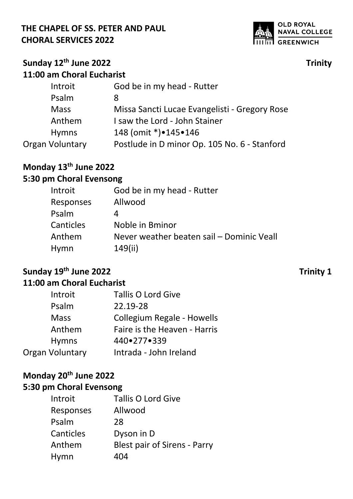

## **Sunday 12th June 2022 Trinity 11:00 am Choral Eucharist**

| Missa Sancti Lucae Evangelisti - Gregory Rose |
|-----------------------------------------------|
|                                               |
|                                               |
| Postlude in D minor Op. 105 No. 6 - Stanford  |
|                                               |

# **Monday 13th June 2022**

# **5:30 pm Choral Evensong**

| Introit          | God be in my head - Rutter                |
|------------------|-------------------------------------------|
| <b>Responses</b> | Allwood                                   |
| Psalm            |                                           |
| <b>Canticles</b> | Noble in Bminor                           |
| Anthem           | Never weather beaten sail - Dominic Veall |
| Hymn             | 149(ii)                                   |

# **Sunday 19th June 2022 Trinity 1**

## **11:00 am Choral Eucharist**

| Introit         | <b>Tallis O Lord Give</b>         |
|-----------------|-----------------------------------|
| Psalm           | 22.19-28                          |
| <b>Mass</b>     | <b>Collegium Regale - Howells</b> |
| Anthem          | Faire is the Heaven - Harris      |
| <b>Hymns</b>    | 440.277.339                       |
| Organ Voluntary | Intrada - John Ireland            |

# **Monday 20th June 2022**

| Introit   | <b>Tallis O Lord Give</b>           |
|-----------|-------------------------------------|
| Responses | Allwood                             |
| Psalm     | 28                                  |
| Canticles | Dyson in D                          |
| Anthem    | <b>Blest pair of Sirens - Parry</b> |
| Hymn      | 404                                 |
|           |                                     |